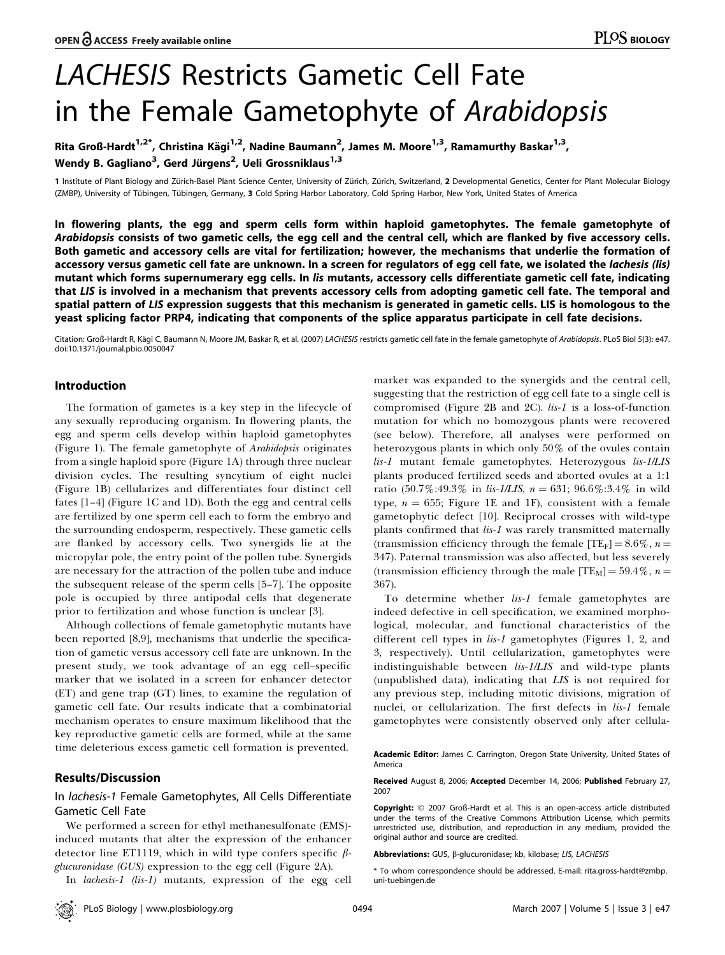# LACHESIS Restricts Gametic Cell Fate in the Female Gametophyte of Arabidopsis

Rita Groß-Hardt<sup>1,2\*</sup>, Christina Kägi<sup>1,2</sup>, Nadine Baumann<sup>2</sup>, James M. Moore<sup>1,3</sup>, Ramamurthy Baskar<sup>1,3</sup>, Wendy B. Gagliano<sup>3</sup>, Gerd Jürgens<sup>2</sup>, Ueli Grossniklaus<sup>1,3</sup>

1 Institute of Plant Biology and Zürich-Basel Plant Science Center, University of Zürich, Zürich, Switzerland, 2 Developmental Genetics, Center for Plant Molecular Biology (ZMBP), University of Tübingen, Tübingen, Germany, 3 Cold Spring Harbor Laboratory, Cold Spring Harbor, New York, United States of America

In flowering plants, the egg and sperm cells form within haploid gametophytes. The female gametophyte of Arabidopsis consists of two gametic cells, the egg cell and the central cell, which are flanked by five accessory cells. Both gametic and accessory cells are vital for fertilization; however, the mechanisms that underlie the formation of accessory versus gametic cell fate are unknown. In a screen for regulators of egg cell fate, we isolated the lachesis (lis) mutant which forms supernumerary egg cells. In lis mutants, accessory cells differentiate gametic cell fate, indicating that LIS is involved in a mechanism that prevents accessory cells from adopting gametic cell fate. The temporal and spatial pattern of LIS expression suggests that this mechanism is generated in gametic cells. LIS is homologous to the yeast splicing factor PRP4, indicating that components of the splice apparatus participate in cell fate decisions.

Citation: Groß-Hardt R, Kägi C, Baumann N, Moore JM, Baskar R, et al. (2007) LACHESIS restricts gametic cell fate in the female gametophyte of Arabidopsis. PLoS Biol 5(3): e47. doi:10.1371/journal.pbio.0050047

## Introduction

The formation of gametes is a key step in the lifecycle of any sexually reproducing organism. In flowering plants, the egg and sperm cells develop within haploid gametophytes (Figure 1). The female gametophyte of *Arabidopsis* originates from a single haploid spore (Figure 1A) through three nuclear division cycles. The resulting syncytium of eight nuclei (Figure 1B) cellularizes and differentiates four distinct cell fates [1–4] (Figure 1C and 1D). Both the egg and central cells are fertilized by one sperm cell each to form the embryo and the surrounding endosperm, respectively. These gametic cells are flanked by accessory cells. Two synergids lie at the micropylar pole, the entry point of the pollen tube. Synergids are necessary for the attraction of the pollen tube and induce the subsequent release of the sperm cells [5–7]. The opposite pole is occupied by three antipodal cells that degenerate prior to fertilization and whose function is unclear [3].

Although collections of female gametophytic mutants have been reported [8,9], mechanisms that underlie the specification of gametic versus accessory cell fate are unknown. In the present study, we took advantage of an egg cell–specific marker that we isolated in a screen for enhancer detector (ET) and gene trap (GT) lines, to examine the regulation of gametic cell fate. Our results indicate that a combinatorial mechanism operates to ensure maximum likelihood that the key reproductive gametic cells are formed, while at the same time deleterious excess gametic cell formation is prevented.

# Results/Discussion

## In lachesis-1 Female Gametophytes, All Cells Differentiate Gametic Cell Fate

We performed a screen for ethyl methanesulfonate (EMS) induced mutants that alter the expression of the enhancer detector line ET1119, which in wild type confers specific  $\beta$ *glucuronidase (GUS)* expression to the egg cell (Figure 2A).

In *lachesis-1 (lis-1)* mutants, expression of the egg cell

marker was expanded to the synergids and the central cell, suggesting that the restriction of egg cell fate to a single cell is compromised (Figure 2B and 2C). *lis-1* is a loss-of-function mutation for which no homozygous plants were recovered (see below). Therefore, all analyses were performed on heterozygous plants in which only 50% of the ovules contain *lis-1* mutant female gametophytes. Heterozygous *lis-1/LIS* plants produced fertilized seeds and aborted ovules at a 1:1 ratio (50.7%:49.3% in *lis-1/LIS*,  $n = 631$ ; 96.6%:3.4% in wild type,  $n = 655$ ; Figure 1E and 1F), consistent with a female gametophytic defect [10]. Reciprocal crosses with wild-type plants confirmed that *lis-1* was rarely transmitted maternally (transmission efficiency through the female  $[TE_F] = 8.6\%, n =$ 347). Paternal transmission was also affected, but less severely (transmission efficiency through the male  $[TE_M] = 59.4\%, n =$ 367).

To determine whether *lis-1* female gametophytes are indeed defective in cell specification, we examined morphological, molecular, and functional characteristics of the different cell types in *lis-1* gametophytes (Figures 1, 2, and 3, respectively). Until cellularization, gametophytes were indistinguishable between *lis-1/LIS* and wild-type plants (unpublished data), indicating that *LIS* is not required for any previous step, including mitotic divisions, migration of nuclei, or cellularization. The first defects in *lis-1* female gametophytes were consistently observed only after cellula-

Academic Editor: James C. Carrington, Oregon State University, United States of America

Received August 8, 2006; Accepted December 14, 2006; Published February 27, 2007

Copyright: © 2007 Groß-Hardt et al. This is an open-access article distributed under the terms of the Creative Commons Attribution License, which permits unrestricted use, distribution, and reproduction in any medium, provided the original author and source are credited.

Abbreviations: GUS, B-glucuronidase; kb, kilobase; LIS, LACHESIS

\* To whom correspondence should be addressed. E-mail: rita.gross-hardt@zmbp. uni-tuebingen.de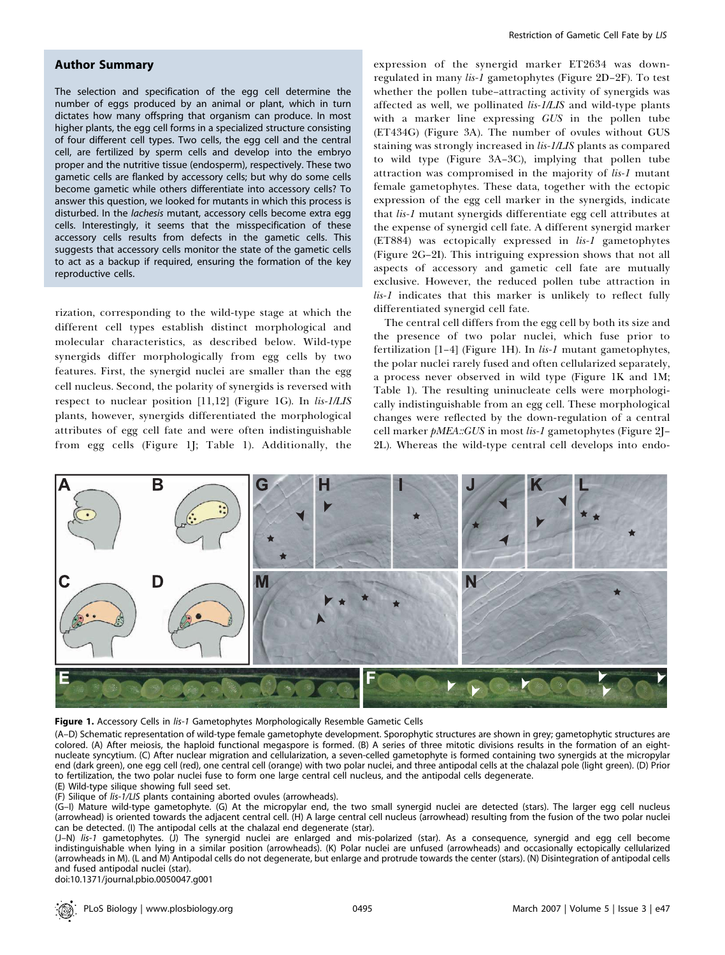## Author Summary

The selection and specification of the egg cell determine the number of eggs produced by an animal or plant, which in turn dictates how many offspring that organism can produce. In most higher plants, the egg cell forms in a specialized structure consisting of four different cell types. Two cells, the egg cell and the central cell, are fertilized by sperm cells and develop into the embryo proper and the nutritive tissue (endosperm), respectively. These two gametic cells are flanked by accessory cells; but why do some cells become gametic while others differentiate into accessory cells? To answer this question, we looked for mutants in which this process is disturbed. In the lachesis mutant, accessory cells become extra egg cells. Interestingly, it seems that the misspecification of these accessory cells results from defects in the gametic cells. This suggests that accessory cells monitor the state of the gametic cells to act as a backup if required, ensuring the formation of the key reproductive cells.

rization, corresponding to the wild-type stage at which the different cell types establish distinct morphological and molecular characteristics, as described below. Wild-type synergids differ morphologically from egg cells by two features. First, the synergid nuclei are smaller than the egg cell nucleus. Second, the polarity of synergids is reversed with respect to nuclear position [11,12] (Figure 1G). In *lis-1/LIS* plants, however, synergids differentiated the morphological attributes of egg cell fate and were often indistinguishable from egg cells (Figure 1J; Table 1). Additionally, the

expression of the synergid marker ET2634 was downregulated in many *lis-1* gametophytes (Figure 2D–2F). To test whether the pollen tube–attracting activity of synergids was affected as well, we pollinated *lis-1/LIS* and wild-type plants with a marker line expressing *GUS* in the pollen tube (ET434G) (Figure 3A). The number of ovules without GUS staining was strongly increased in *lis-1/LIS* plants as compared to wild type (Figure 3A–3C), implying that pollen tube attraction was compromised in the majority of *lis-1* mutant female gametophytes. These data, together with the ectopic expression of the egg cell marker in the synergids, indicate that *lis-1* mutant synergids differentiate egg cell attributes at the expense of synergid cell fate. A different synergid marker (ET884) was ectopically expressed in *lis-1* gametophytes (Figure 2G–2I). This intriguing expression shows that not all aspects of accessory and gametic cell fate are mutually exclusive. However, the reduced pollen tube attraction in *lis-1* indicates that this marker is unlikely to reflect fully differentiated synergid cell fate.

The central cell differs from the egg cell by both its size and the presence of two polar nuclei, which fuse prior to fertilization [1–4] (Figure 1H). In *lis-1* mutant gametophytes, the polar nuclei rarely fused and often cellularized separately, a process never observed in wild type (Figure 1K and 1M; Table 1). The resulting uninucleate cells were morphologically indistinguishable from an egg cell. These morphological changes were reflected by the down-regulation of a central cell marker *pMEA::GUS* in most *lis-1* gametophytes (Figure 2J– 2L). Whereas the wild-type central cell develops into endo-



Figure 1. Accessory Cells in lis-1 Gametophytes Morphologically Resemble Gametic Cells

(A–D) Schematic representation of wild-type female gametophyte development. Sporophytic structures are shown in grey; gametophytic structures are colored. (A) After meiosis, the haploid functional megaspore is formed. (B) A series of three mitotic divisions results in the formation of an eightnucleate syncytium. (C) After nuclear migration and cellularization, a seven-celled gametophyte is formed containing two synergids at the micropylar end (dark green), one egg cell (red), one central cell (orange) with two polar nuclei, and three antipodal cells at the chalazal pole (light green). (D) Prior to fertilization, the two polar nuclei fuse to form one large central cell nucleus, and the antipodal cells degenerate. (E) Wild-type silique showing full seed set.

(F) Silique of lis-1/LIS plants containing aborted ovules (arrowheads).

(G–I) Mature wild-type gametophyte. (G) At the micropylar end, the two small synergid nuclei are detected (stars). The larger egg cell nucleus (arrowhead) is oriented towards the adjacent central cell. (H) A large central cell nucleus (arrowhead) resulting from the fusion of the two polar nuclei can be detected. (I) The antipodal cells at the chalazal end degenerate (star).

(J–N) lis-1 gametophytes. (J) The synergid nuclei are enlarged and mis-polarized (star). As a consequence, synergid and egg cell become indistinguishable when lying in a similar position (arrowheads). (K) Polar nuclei are unfused (arrowheads) and occasionally ectopically cellularized (arrowheads in M). (L and M) Antipodal cells do not degenerate, but enlarge and protrude towards the center (stars). (N) Disintegration of antipodal cells and fused antipodal nuclei (star).

doi:10.1371/journal.pbio.0050047.g001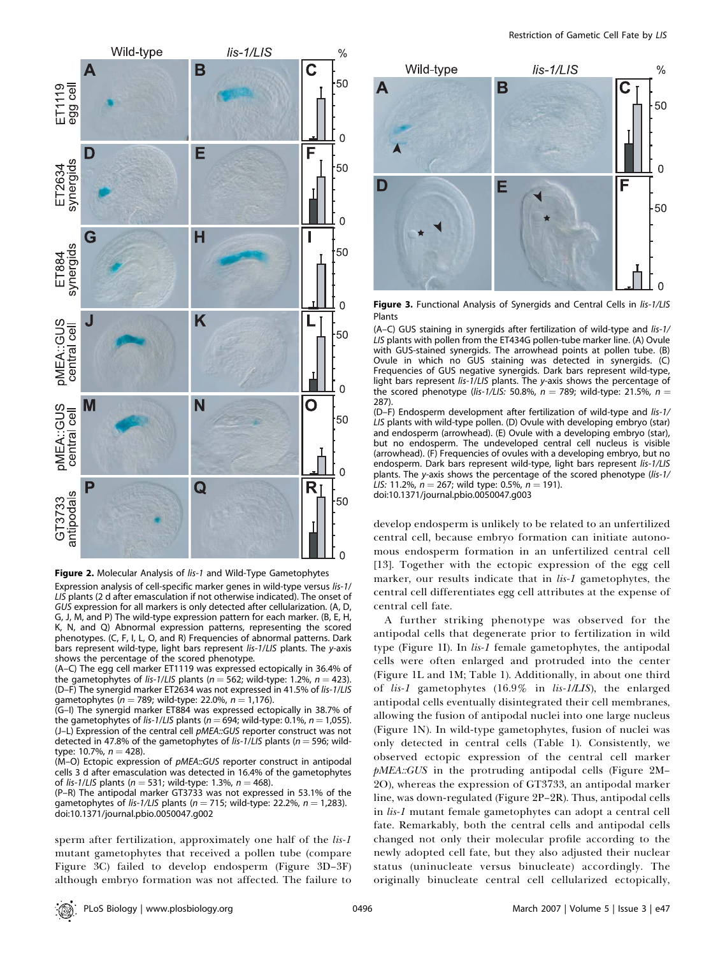![](_page_2_Figure_0.jpeg)

Figure 2. Molecular Analysis of lis-1 and Wild-Type Gametophytes

Expression analysis of cell-specific marker genes in wild-type versus lis-1/ LIS plants (2 d after emasculation if not otherwise indicated). The onset of GUS expression for all markers is only detected after cellularization. (A, D, G, J, M, and P) The wild-type expression pattern for each marker. (B, E, H, K, N, and Q) Abnormal expression patterns, representing the scored phenotypes. (C, F, I, L, O, and R) Frequencies of abnormal patterns. Dark bars represent wild-type, light bars represent lis-1/LIS plants. The y-axis shows the percentage of the scored phenotype.

(A–C) The egg cell marker ET1119 was expressed ectopically in 36.4% of the gametophytes of lis-1/LIS plants ( $n = 562$ ; wild-type: 1.2%,  $n = 423$ ). (D–F) The synergid marker ET2634 was not expressed in 41.5% of lis-1/LIS gametophytes ( $n = 789$ ; wild-type: 22.0%,  $n = 1,176$ ).

(G–I) The synergid marker ET884 was expressed ectopically in 38.7% of the gametophytes of lis-1/LIS plants ( $n = 694$ ; wild-type: 0.1%,  $n = 1,055$ ). (J-L) Expression of the central cell pMEA::GUS reporter construct was not detected in 47.8% of the gametophytes of lis-1/LIS plants ( $n = 596$ ; wildtype: 10.7%,  $n = 428$ ).

(M-O) Ectopic expression of pMEA::GUS reporter construct in antipodal cells 3 d after emasculation was detected in 16.4% of the gametophytes of lis-1/LIS plants ( $n = 531$ ; wild-type: 1.3%,  $n = 468$ ).

(P–R) The antipodal marker GT3733 was not expressed in 53.1% of the gametophytes of *lis-1/LIS* plants ( $n = 715$ ; wild-type: 22.2%,  $n = 1,283$ ). doi:10.1371/journal.pbio.0050047.g002

sperm after fertilization, approximately one half of the *lis-1* mutant gametophytes that received a pollen tube (compare Figure 3C) failed to develop endosperm (Figure 3D–3F) although embryo formation was not affected. The failure to

![](_page_2_Figure_9.jpeg)

Figure 3. Functional Analysis of Synergids and Central Cells in lis-1/LIS Plants

(A–C) GUS staining in synergids after fertilization of wild-type and lis-1/ LIS plants with pollen from the ET434G pollen-tube marker line. (A) Ovule with GUS-stained synergids. The arrowhead points at pollen tube. (B) Ovule in which no GUS staining was detected in synergids. (C) Frequencies of GUS negative synergids. Dark bars represent wild-type, light bars represent lis-1/LIS plants. The y-axis shows the percentage of the scored phenotype (lis-1/LIS: 50.8%,  $n = 789$ ; wild-type: 21.5%,  $n =$ 287).

(D–F) Endosperm development after fertilization of wild-type and lis-1/ LIS plants with wild-type pollen. (D) Ovule with developing embryo (star) and endosperm (arrowhead). (E) Ovule with a developing embryo (star), but no endosperm. The undeveloped central cell nucleus is visible (arrowhead). (F) Frequencies of ovules with a developing embryo, but no endosperm. Dark bars represent wild-type, light bars represent lis-1/LIS plants. The y-axis shows the percentage of the scored phenotype (lis-1/ LIS: 11.2%,  $n = 267$ ; wild type: 0.5%,  $n = 191$ ).

doi:10.1371/journal.pbio.0050047.g003

develop endosperm is unlikely to be related to an unfertilized central cell, because embryo formation can initiate autonomous endosperm formation in an unfertilized central cell [13]. Together with the ectopic expression of the egg cell marker, our results indicate that in *lis-1* gametophytes, the central cell differentiates egg cell attributes at the expense of central cell fate.

A further striking phenotype was observed for the antipodal cells that degenerate prior to fertilization in wild type (Figure 1I). In *lis-1* female gametophytes, the antipodal cells were often enlarged and protruded into the center (Figure 1L and 1M; Table 1). Additionally, in about one third of *lis-1* gametophytes (16.9% in *lis-1/LIS*), the enlarged antipodal cells eventually disintegrated their cell membranes, allowing the fusion of antipodal nuclei into one large nucleus (Figure 1N). In wild-type gametophytes, fusion of nuclei was only detected in central cells (Table 1). Consistently, we observed ectopic expression of the central cell marker *pMEA::GUS* in the protruding antipodal cells (Figure 2M– 2O), whereas the expression of GT3733, an antipodal marker line, was down-regulated (Figure 2P–2R). Thus, antipodal cells in *lis-1* mutant female gametophytes can adopt a central cell fate. Remarkably, both the central cells and antipodal cells changed not only their molecular profile according to the newly adopted cell fate, but they also adjusted their nuclear status (uninucleate versus binucleate) accordingly. The originally binucleate central cell cellularized ectopically,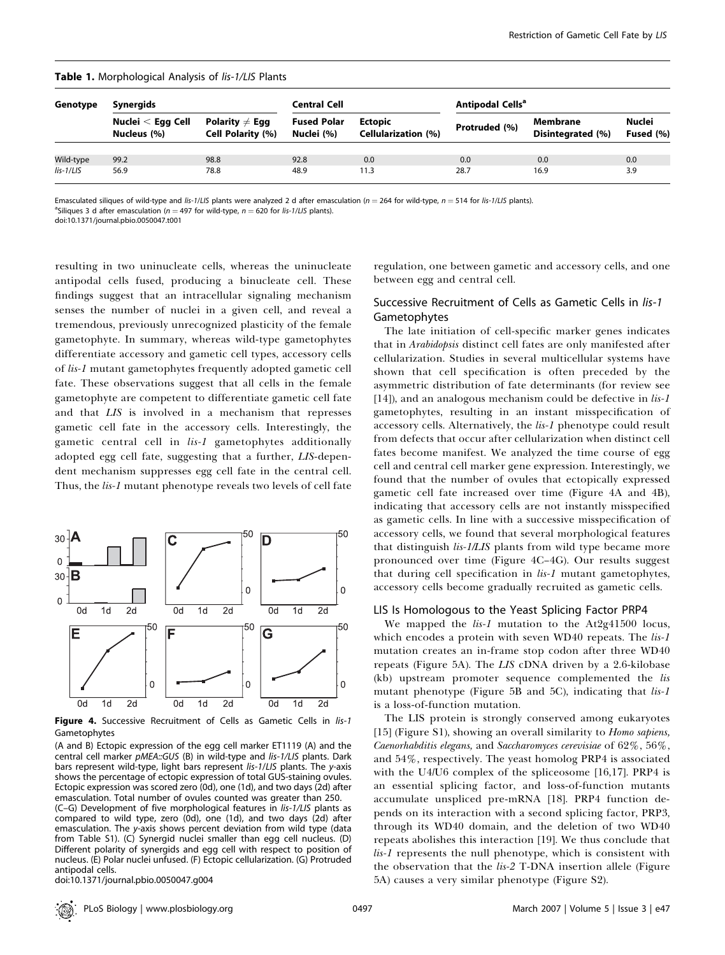| Genotype    | Synergids                          |                                          | Central Cell                     |                                              | Antipodal Cells <sup>a</sup> |                                      |                     |
|-------------|------------------------------------|------------------------------------------|----------------------------------|----------------------------------------------|------------------------------|--------------------------------------|---------------------|
|             | Nuclei $<$ Egg Cell<br>Nucleus (%) | Polarity $\neq$ Egg<br>Cell Polarity (%) | <b>Fused Polar</b><br>Nuclei (%) | <b>Ectopic</b><br><b>Cellularization (%)</b> | Protruded (%)                | <b>Membrane</b><br>Disintegrated (%) | Nuclei<br>Fused (%) |
| Wild-type   | 99.2                               | 98.8                                     | 92.8                             | 0.0                                          | 0.0                          | 0.0                                  | 0.0                 |
| $lis-1/LIS$ | 56.9                               | 78.8                                     | 48.9                             | 11.3                                         | 28.7                         | 16.9                                 | 3.9                 |

## Table 1. Morphological Analysis of lis-1/LIS Plants

Emasculated siliques of wild-type and lis-1/LIS plants were analyzed 2 d after emasculation ( $n = 264$  for wild-type,  $n = 514$  for lis-1/LIS plants).

<sup>a</sup>Siliques 3 d after emasculation ( $n = 497$  for wild-type,  $n = 620$  for lis-1/LIS plants).

doi:10.1371/journal.pbio.0050047.t001

resulting in two uninucleate cells, whereas the uninucleate antipodal cells fused, producing a binucleate cell. These findings suggest that an intracellular signaling mechanism senses the number of nuclei in a given cell, and reveal a tremendous, previously unrecognized plasticity of the female gametophyte. In summary, whereas wild-type gametophytes differentiate accessory and gametic cell types, accessory cells of *lis-1* mutant gametophytes frequently adopted gametic cell fate. These observations suggest that all cells in the female gametophyte are competent to differentiate gametic cell fate and that *LIS* is involved in a mechanism that represses gametic cell fate in the accessory cells. Interestingly, the gametic central cell in *lis-1* gametophytes additionally adopted egg cell fate, suggesting that a further, *LIS*-dependent mechanism suppresses egg cell fate in the central cell. Thus, the *lis-1* mutant phenotype reveals two levels of cell fate

![](_page_3_Figure_7.jpeg)

Figure 4. Successive Recruitment of Cells as Gametic Cells in lis-1 Gametophytes

(A and B) Ectopic expression of the egg cell marker ET1119 (A) and the central cell marker pMEA::GUS (B) in wild-type and lis-1/LIS plants. Dark bars represent wild-type, light bars represent lis-1/LIS plants. The y-axis shows the percentage of ectopic expression of total GUS-staining ovules. Ectopic expression was scored zero (0d), one (1d), and two days (2d) after emasculation. Total number of ovules counted was greater than 250. (C–G) Development of five morphological features in lis-1/LIS plants as compared to wild type, zero (0d), one (1d), and two days (2d) after emasculation. The y-axis shows percent deviation from wild type (data from Table S1). (C) Synergid nuclei smaller than egg cell nucleus. (D) Different polarity of synergids and egg cell with respect to position of nucleus. (E) Polar nuclei unfused. (F) Ectopic cellularization. (G) Protruded antipodal cells.

doi:10.1371/journal.pbio.0050047.g004

regulation, one between gametic and accessory cells, and one between egg and central cell.

# Successive Recruitment of Cells as Gametic Cells in lis-1 Gametophytes

The late initiation of cell-specific marker genes indicates that in *Arabidopsis* distinct cell fates are only manifested after cellularization. Studies in several multicellular systems have shown that cell specification is often preceded by the asymmetric distribution of fate determinants (for review see [14]), and an analogous mechanism could be defective in *lis-1* gametophytes, resulting in an instant misspecification of accessory cells. Alternatively, the *lis-1* phenotype could result from defects that occur after cellularization when distinct cell fates become manifest. We analyzed the time course of egg cell and central cell marker gene expression. Interestingly, we found that the number of ovules that ectopically expressed gametic cell fate increased over time (Figure 4A and 4B), indicating that accessory cells are not instantly misspecified as gametic cells. In line with a successive misspecification of accessory cells, we found that several morphological features that distinguish *lis-1/LIS* plants from wild type became more pronounced over time (Figure 4C–4G). Our results suggest that during cell specification in *lis-1* mutant gametophytes, accessory cells become gradually recruited as gametic cells.

#### LIS Is Homologous to the Yeast Splicing Factor PRP4

We mapped the *lis-1* mutation to the At2g41500 locus, which encodes a protein with seven WD40 repeats. The *lis-1* mutation creates an in-frame stop codon after three WD40 repeats (Figure 5A). The *LIS* cDNA driven by a 2.6-kilobase (kb) upstream promoter sequence complemented the *lis* mutant phenotype (Figure 5B and 5C), indicating that *lis-1* is a loss-of-function mutation.

The LIS protein is strongly conserved among eukaryotes [15] (Figure S1), showing an overall similarity to *Homo sapiens, Caenorhabditis elegans,* and *Saccharomyces cerevisiae* of 62%, 56%, and 54%, respectively. The yeast homolog PRP4 is associated with the U4/U6 complex of the spliceosome [16,17]. PRP4 is an essential splicing factor, and loss-of-function mutants accumulate unspliced pre-mRNA [18]. PRP4 function depends on its interaction with a second splicing factor, PRP3, through its WD40 domain, and the deletion of two WD40 repeats abolishes this interaction [19]. We thus conclude that *lis-1* represents the null phenotype, which is consistent with the observation that the *lis-2* T-DNA insertion allele (Figure 5A) causes a very similar phenotype (Figure S2).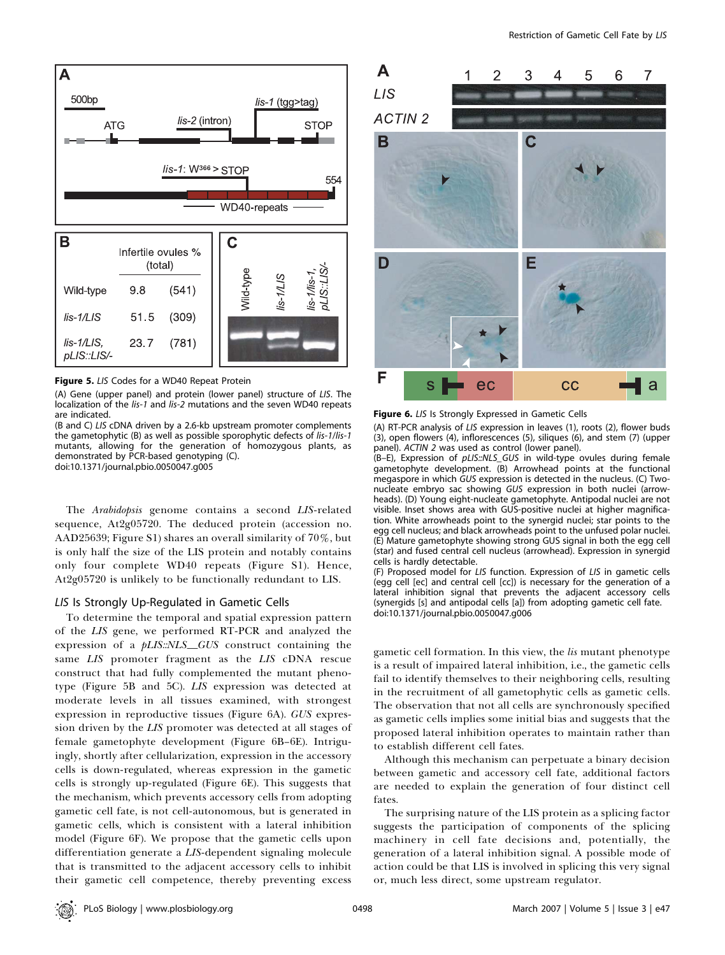![](_page_4_Figure_1.jpeg)

Figure 5. LIS Codes for a WD40 Repeat Protein

(A) Gene (upper panel) and protein (lower panel) structure of LIS. The localization of the lis-1 and lis-2 mutations and the seven WD40 repeats are indicated.

(B and C) LIS cDNA driven by a 2.6-kb upstream promoter complements the gametophytic (B) as well as possible sporophytic defects of lis-1/lis-1 mutants, allowing for the generation of homozygous plants, as demonstrated by PCR-based genotyping (C). doi:10.1371/journal.pbio.0050047.g005

The *Arabidopsis* genome contains a second *LIS*-related sequence, At2g05720. The deduced protein (accession no. AAD25639; Figure S1) shares an overall similarity of 70%, but is only half the size of the LIS protein and notably contains only four complete WD40 repeats (Figure S1). Hence, At2g05720 is unlikely to be functionally redundant to LIS.

#### LIS Is Strongly Up-Regulated in Gametic Cells

To determine the temporal and spatial expression pattern of the *LIS* gene, we performed RT-PCR and analyzed the expression of a *pLIS::NLS\_GUS* construct containing the same *LIS* promoter fragment as the *LIS* cDNA rescue construct that had fully complemented the mutant phenotype (Figure 5B and 5C). *LIS* expression was detected at moderate levels in all tissues examined, with strongest expression in reproductive tissues (Figure 6A). *GUS* expression driven by the *LIS* promoter was detected at all stages of female gametophyte development (Figure 6B–6E). Intriguingly, shortly after cellularization, expression in the accessory cells is down-regulated, whereas expression in the gametic cells is strongly up-regulated (Figure 6E). This suggests that the mechanism, which prevents accessory cells from adopting gametic cell fate, is not cell-autonomous, but is generated in gametic cells, which is consistent with a lateral inhibition model (Figure 6F). We propose that the gametic cells upon differentiation generate a *LIS*-dependent signaling molecule that is transmitted to the adjacent accessory cells to inhibit their gametic cell competence, thereby preventing excess

![](_page_4_Figure_8.jpeg)

Figure 6. LIS Is Strongly Expressed in Gametic Cells

(A) RT-PCR analysis of LIS expression in leaves (1), roots (2), flower buds (3), open flowers (4), inflorescences (5), siliques (6), and stem (7) (upper panel). ACTIN 2 was used as control (lower panel).

(B–E), Expression of pLIS::NLS\_GUS in wild-type ovules during female gametophyte development. (B) Arrowhead points at the functional megaspore in which GUS expression is detected in the nucleus. (C) Twonucleate embryo sac showing GUS expression in both nuclei (arrowheads). (D) Young eight-nucleate gametophyte. Antipodal nuclei are not visible. Inset shows area with GUS-positive nuclei at higher magnification. White arrowheads point to the synergid nuclei; star points to the egg cell nucleus; and black arrowheads point to the unfused polar nuclei. (E) Mature gametophyte showing strong GUS signal in both the egg cell (star) and fused central cell nucleus (arrowhead). Expression in synergid cells is hardly detectable.

(F) Proposed model for LIS function. Expression of LIS in gametic cells (egg cell [ec] and central cell [cc]) is necessary for the generation of a lateral inhibition signal that prevents the adjacent accessory cells (synergids [s] and antipodal cells [a]) from adopting gametic cell fate. doi:10.1371/journal.pbio.0050047.g006

gametic cell formation. In this view, the *lis* mutant phenotype is a result of impaired lateral inhibition, i.e., the gametic cells fail to identify themselves to their neighboring cells, resulting in the recruitment of all gametophytic cells as gametic cells. The observation that not all cells are synchronously specified as gametic cells implies some initial bias and suggests that the proposed lateral inhibition operates to maintain rather than to establish different cell fates.

Although this mechanism can perpetuate a binary decision between gametic and accessory cell fate, additional factors are needed to explain the generation of four distinct cell fates.

The surprising nature of the LIS protein as a splicing factor suggests the participation of components of the splicing machinery in cell fate decisions and, potentially, the generation of a lateral inhibition signal. A possible mode of action could be that LIS is involved in splicing this very signal or, much less direct, some upstream regulator.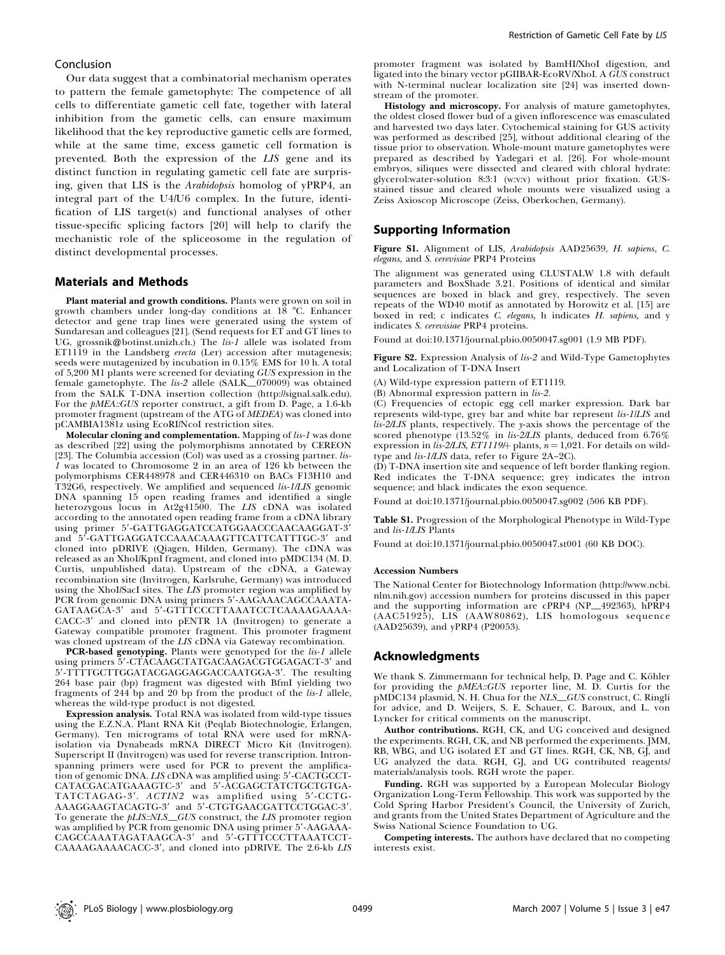## Conclusion

Our data suggest that a combinatorial mechanism operates to pattern the female gametophyte: The competence of all cells to differentiate gametic cell fate, together with lateral inhibition from the gametic cells, can ensure maximum likelihood that the key reproductive gametic cells are formed, while at the same time, excess gametic cell formation is prevented. Both the expression of the *LIS* gene and its distinct function in regulating gametic cell fate are surprising, given that LIS is the *Arabidopsis* homolog of yPRP4, an integral part of the U4/U6 complex. In the future, identification of LIS target(s) and functional analyses of other tissue-specific splicing factors [20] will help to clarify the mechanistic role of the spliceosome in the regulation of distinct developmental processes.

### Materials and Methods

Plant material and growth conditions. Plants were grown on soil in growth chambers under long-day conditions at  $18^\circ$ C. Enhancer detector and gene trap lines were generated using the system of Sundaresan and colleagues [21]. (Send requests for ET and GT lines to UG, grossnik@botinst.unizh.ch.) The *lis-1* allele was isolated from ET1119 in the Landsberg *erecta* (Ler) accession after mutagenesis; seeds were mutagenized by incubation in 0.15% EMS for 10 h. A total of 5,200 M1 plants were screened for deviating *GUS* expression in the female gametophyte. The *lis-2* allele (SALK\_070009) was obtained from the SALK T-DNA insertion collection (http://signal.salk.edu). For the *pMEA::GUS* reporter construct, a gift from D. Page, a 1.6-kb promoter fragment (upstream of the ATG of *MEDEA*) was cloned into pCAMBIA1381z using EcoRI/NcoI restriction sites.

Molecular cloning and complementation. Mapping of *lis-1* was done as described [22] using the polymorphisms annotated by CEREON [23]. The Columbia accession (Col) was used as a crossing partner. *lis-1* was located to Chromosome 2 in an area of 126 kb between the polymorphisms CER448978 and CER446310 on BACs F13H10 and T32G6, respectively. We amplified and sequenced *lis-1/LIS* genomic DNA spanning 15 open reading frames and identified a single heterozygous locus in At2g41500. The *LIS* cDNA was isolated according to the annotated open reading frame from a cDNA library using primer 5'-GATTGAGGATCCATGGAACCCAACAAGGAT-3' and 5'-GATTGAGGATCCAAACAAAGTTCATTCATTTGC-3' and cloned into pDRIVE (Qiagen, Hilden, Germany). The cDNA was released as an XhoI/KpnI fragment, and cloned into pMDC134 (M. D. Curtis, unpublished data). Upstream of the cDNA, a Gateway recombination site (Invitrogen, Karlsruhe, Germany) was introduced using the XhoI/SacI sites. The *LIS* promoter region was amplified by PCR from genomic DNA using primers 5'-AAGAAACAGCCAAATA-GATAAGCA-3' and 5'-GTTTCCCTTAAATCCTCAAAAGAAAA-CACC-3' and cloned into pENTR 1A (Invitrogen) to generate a Gateway compatible promoter fragment. This promoter fragment was cloned upstream of the *LIS* cDNA via Gateway recombination.

PCR-based genotyping. Plants were genotyped for the *lis-1* allele using primers 5'-CTACAAGCTATGACAAGACGTGGAGACT-3' and 5'-TTTTGCTTGGATACGAGGAGGACCAATGGA-3'. The resulting 264 base pair (bp) fragment was digested with BfmI yielding two fragments of 244 bp and 20 bp from the product of the *lis-1* allele, whereas the wild-type product is not digested.

Expression analysis. Total RNA was isolated from wild-type tissues using the E.Z.N.A. Plant RNA Kit (Peqlab Biotechnologie, Erlangen, Germany). Ten micrograms of total RNA were used for mRNAisolation via Dynabeads mRNA DIRECT Micro Kit (Invitrogen). Superscript II (Invitrogen) was used for reverse transcription. Intronspanning primers were used for PCR to prevent the amplification of genomic DNA. LIS cDNA was amplified using: 5'-CACTGCCT-CATACGACATGAAAGTC-3' and 5'-ACGAGCTATCTGCTGTGA-TATCTAGAG-3'. ACTIN2 was amplified using 5'-CCTG- $A A A G G A A G T A C A G T G - 3'$  and 5'-CTGTGAACGATTCCTGGAC-3'. To generate the *pLIS::NLS\_GUS* construct, the *LIS* promoter region was amplified by PCR from genomic DNA using primer 5'-AAGAAA-CAGCCAAATAGATAAGCA-3' and 5'-GTTTCCCTTAAATCCT-CAAAAGAAAACACC-3', and cloned into pDRIVE. The 2.6-kb *LIS* 

promoter fragment was isolated by BamHI/XhoI digestion, and ligated into the binary vector pGIIBAR-EcoRV/XhoI. A *GUS* construct with N-terminal nuclear localization site [24] was inserted downstream of the promoter.

Histology and microscopy. For analysis of mature gametophytes, the oldest closed flower bud of a given inflorescence was emasculated and harvested two days later. Cytochemical staining for GUS activity was performed as described [25], without additional clearing of the tissue prior to observation. Whole-mount mature gametophytes were prepared as described by Yadegari et al. [26]. For whole-mount embryos, siliques were dissected and cleared with chloral hydrate: glycerol:water-solution 8:3:1 (w:v:v) without prior fixation. GUSstained tissue and cleared whole mounts were visualized using a Zeiss Axioscop Microscope (Zeiss, Oberkochen, Germany).

#### Supporting Information

Figure S1. Alignment of LIS, *Arabidopsis* AAD25639, *H. sapiens*, *C. elegans*, and *S. cerevisiae* PRP4 Proteins

The alignment was generated using CLUSTALW 1.8 with default parameters and BoxShade 3.21. Positions of identical and similar sequences are boxed in black and grey, respectively. The seven repeats of the WD40 motif as annotated by Horowitz et al. [15] are boxed in red; c indicates *C. elegans,* h indicates *H. sapiens,* and y indicates *S. cerevisiae* PRP4 proteins.

Found at doi:10.1371/journal.pbio.0050047.sg001 (1.9 MB PDF).

Figure S2. Expression Analysis of *lis-2* and Wild-Type Gametophytes and Localization of T-DNA Insert

(A) Wild-type expression pattern of ET1119.

(B) Abnormal expression pattern in *lis-2*.

(C) Frequencies of ectopic egg cell marker expression. Dark bar represents wild-type, grey bar and white bar represent *lis-1*/*LIS* and *lis-2/LIS* plants, respectively. The *y*-axis shows the percentage of the scored phenotype (13.52% in *lis-2/LIS* plants, deduced from 6.76% expression in  $\hat{lis-2}/LIS$ ,  $ET1119/$  plants,  $\hat{n} = 1,021$ . For details on wildtype and *lis-1/LIS* data, refer to Figure 2A–2C).

(D) T-DNA insertion site and sequence of left border flanking region. Red indicates the T-DNA sequence; grey indicates the intron sequence; and black indicates the exon sequence.

Found at doi:10.1371/journal.pbio.0050047.sg002 (506 KB PDF).

Table S1. Progression of the Morphological Phenotype in Wild-Type and *lis-1/LIS* Plants

Found at doi:10.1371/journal.pbio.0050047.st001 (60 KB DOC).

#### Accession Numbers

The National Center for Biotechnology Information (http://www.ncbi. nlm.nih.gov) accession numbers for proteins discussed in this paper and the supporting information are cPRP4 (NP\_492363), hPRP4 (AAC51925), LIS (AAW80862), LIS homologous sequence (AAD25639), and yPRP4 (P20053).

#### Acknowledgments

We thank S. Zimmermann for technical help, D. Page and C. Köhler for providing the *pMEA::GUS* reporter line, M. D. Curtis for the pMDC134 plasmid, N. H. Chua for the *NLS\_GUS* construct, C. Ringli for advice, and D. Weijers, S. E. Schauer, C. Baroux, and L. von Lyncker for critical comments on the manuscript.

Author contributions. RGH, CK, and UG conceived and designed the experiments. RGH, CK, and NB performed the experiments. JMM, RB, WBG, and UG isolated ET and GT lines. RGH, CK, NB, GJ, and UG analyzed the data. RGH, GJ, and UG contributed reagents/ materials/analysis tools. RGH wrote the paper.

Funding. RGH was supported by a European Molecular Biology Organization Long-Term Fellowship. This work was supported by the Cold Spring Harbor President's Council, the University of Zurich, and grants from the United States Department of Agriculture and the Swiss National Science Foundation to UG.

Competing interests. The authors have declared that no competing interests exist.